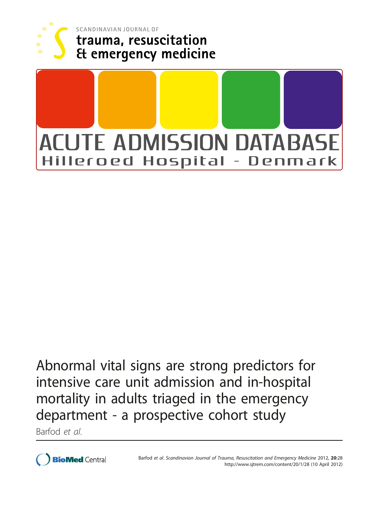

SCANDINAVIAN JOURNAL OF trauma, resuscitation **Et emergency medicine** 



Abnormal vital signs are strong predictors for intensive care unit admission and in-hospital mortality in adults triaged in the emergency department - a prospective cohort study

Barfod et al.

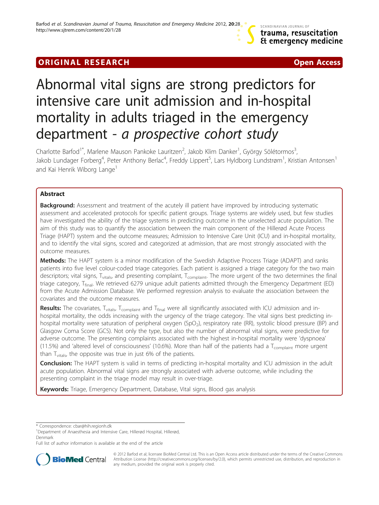# **ORIGINAL RESEARCH CONSUMING ACCESS**

# Abnormal vital signs are strong predictors for intensive care unit admission and in-hospital mortality in adults triaged in the emergency department - a prospective cohort study

Charlotte Barfod<sup>1\*</sup>, Marlene Mauson Pankoke Lauritzen<sup>2</sup>, Jakob Klim Danker<sup>1</sup>, György Sölétormos<sup>3</sup> , Jakob Lundager Forberg<sup>4</sup>, Peter Anthony Berlac<sup>4</sup>, Freddy Lippert<sup>5</sup>, Lars Hyldborg Lundstrøm<sup>1</sup>, Kristian Antonsen<sup>1</sup> and Kai Henrik Wiborg Lange<sup>1</sup>

# Abstract

**Background:** Assessment and treatment of the acutely ill patient have improved by introducing systematic assessment and accelerated protocols for specific patient groups. Triage systems are widely used, but few studies have investigated the ability of the triage systems in predicting outcome in the unselected acute population. The aim of this study was to quantify the association between the main component of the Hillerød Acute Process Triage (HAPT) system and the outcome measures; Admission to Intensive Care Unit (ICU) and in-hospital mortality, and to identify the vital signs, scored and categorized at admission, that are most strongly associated with the outcome measures.

Methods: The HAPT system is a minor modification of the Swedish Adaptive Process Triage (ADAPT) and ranks patients into five level colour-coded triage categories. Each patient is assigned a triage category for the two main descriptors; vital signs, T<sub>vitals</sub>, and presenting complaint, T<sub>complaint</sub>. The more urgent of the two determines the final triage category, T<sub>final</sub>. We retrieved 6279 unique adult patients admitted through the Emergency Department (ED) from the Acute Admission Database. We performed regression analysis to evaluate the association between the covariates and the outcome measures.

Results: The covariates, T<sub>vitals</sub>, T<sub>complaint</sub> and T<sub>final</sub> were all significantly associated with ICU admission and inhospital mortality, the odds increasing with the urgency of the triage category. The vital signs best predicting inhospital mortality were saturation of peripheral oxygen (SpO<sub>2</sub>), respiratory rate (RR), systolic blood pressure (BP) and Glasgow Coma Score (GCS). Not only the type, but also the number of abnormal vital signs, were predictive for adverse outcome. The presenting complaints associated with the highest in-hospital mortality were 'dyspnoea' (11.5%) and 'altered level of consciousness' (10.6%). More than half of the patients had a  $T_{\text{complain}}$  more urgent than  $T_{vitals}$ , the opposite was true in just 6% of the patients.

Conclusion: The HAPT system is valid in terms of predicting in-hospital mortality and ICU admission in the adult acute population. Abnormal vital signs are strongly associated with adverse outcome, while including the presenting complaint in the triage model may result in over-triage.

Keywords: Triage, Emergency Department, Database, Vital signs, Blood gas analysis

Full list of author information is available at the end of the article



© 2012 Barfod et al; licensee BioMed Central Ltd. This is an Open Access article distributed under the terms of the Creative Commons Attribution License [\(http://creativecommons.org/licenses/by/2.0](http://creativecommons.org/licenses/by/2.0)), which permits unrestricted use, distribution, and reproduction in any medium, provided the original work is properly cited.

<sup>\*</sup> Correspondence: [cbar@hih.regionh.dk](mailto:cbar@hih.regionh.dk)

<sup>&</sup>lt;sup>1</sup>Department of Anaesthesia and Intensive Care, Hillerød Hospital, Hillerød, Denmark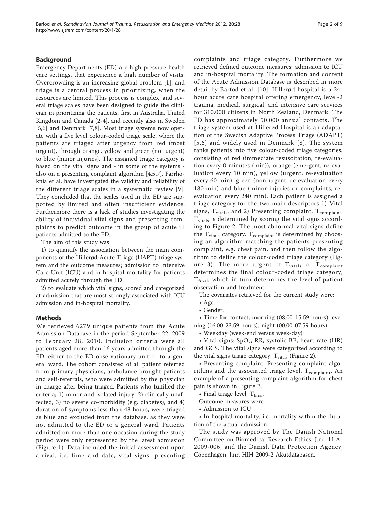# Background

Emergency Departments (ED) are high-pressure health care settings, that experience a high number of visits. Overcrowding is an increasing global problem [[1](#page-9-0)], and triage is a central process in prioritizing, when the resources are limited. This process is complex, and several triage scales have been designed to guide the clinician in prioritizing the patients, first in Australia, United Kingdom and Canada [[2-4](#page-9-0)], and recently also in Sweden [[5,6\]](#page-9-0) and Denmark [\[7](#page-9-0),[8](#page-9-0)]. Most triage systems now operate with a five level colour-coded triage scale, where the patients are triaged after urgency from red (most urgent), through orange, yellow and green (not urgent) to blue (minor injuries). The assigned triage category is based on the vital signs and - in some of the systems also on a presenting complaint algorithm [\[4,5,7](#page-9-0)]. Farrhoknia et al. have investigated the validity and reliability of the different triage scales in a systematic review [[9\]](#page-9-0). They concluded that the scales used in the ED are supported by limited and often insufficient evidence. Furthermore there is a lack of studies investigating the ability of individual vital signs and presenting complaints to predict outcome in the group of acute ill patients admitted to the ED.

The aim of this study was

1) to quantify the association between the main components of the Hillerød Acute Triage (HAPT) triage system and the outcome measures; admission to Intensive Care Unit (ICU) and in-hospital mortality for patients admitted acutely through the ED.

2) to evaluate which vital signs, scored and categorized at admission that are most strongly associated with ICU admission and in-hospital mortality.

# Methods

We retrieved 6279 unique patients from the Acute Admission Database in the period September 22, 2009 to February 28, 2010. Inclusion criteria were all patients aged more than 16 years admitted through the ED, either to the ED observationary unit or to a general ward. The cohort consisted of all patient referred from primary physicians, ambulance brought patients and self-referrals, who were admitted by the physician in charge after being triaged. Patients who fulfilled the criteria; 1) minor and isolated injury, 2) clinically unaffected, 3) no severe co-morbidity (e.g. diabetes), and 4) duration of symptoms less than 48 hours, were triaged as blue and excluded from the database, as they were not admitted to the ED or a general ward. Patients admitted on more than one occasion during the study period were only represented by the latest admission (Figure [1](#page-3-0)). Data included the initial assessment upon arrival, i.e. time and date, vital signs, presenting complaints and triage category. Furthermore we retrieved defined outcome measures; admission to ICU and in-hospital mortality. The formation and content of the Acute Admission Database is described in more detail by Barfod et al. [[10](#page-9-0)]. Hillerød hospital is a 24 hour acute care hospital offering emergency, level-2 trauma, medical, surgical, and intensive care services for 310.000 citizens in North Zealand, Denmark. The ED has approximately 50.000 annual contacts. The triage system used at Hillerød Hospital is an adaptation of the Swedish Adaptive Process Triage (ADAPT) [[5,6](#page-9-0)] and widely used in Denmark [[8](#page-9-0)]. The system ranks patients into five colour-coded triage categories, consisting of red (immediate resuscitation, re-evaluation every 0 minutes (min)), orange (emergent, re-evaluation every 10 min), yellow (urgent, re-evaluation every 60 min), green (non-urgent, re-evaluation every 180 min) and blue (minor injuries or complaints, reevaluation every 240 min). Each patient is assigned a triage category for the two main descriptors 1) Vital signs,  $T_{\text{vitals}}$ , and 2) Presenting complaint,  $T_{\text{complaint}}$ . T<sub>vitals</sub> is determined by scoring the vital signs according to Figure [2.](#page-4-0) The most abnormal vital signs define the  $T_{\text{vitals}}$  category.  $T_{\text{complain}}$  is determined by choosing an algorithm matching the patients presenting complaint, e.g. chest pain, and then follow the algorithm to define the colour-coded triage category (Fig-ure [3](#page-4-0)). The more urgent of  $T_{\text{vitals}}$  or  $T_{\text{complaint}}$ determines the final colour-coded triage category,  $T_{final}$ , which in turn determines the level of patient observation and treatment.

The covariates retrieved for the current study were:

• Gender.

• Time for contact; morning (08.00-15.59 hours), evening (16.00-23.59 hours), night (00.00-07.59 hours)

• Weekday (week-end versus week-day)

• Vital signs:  $SpO<sub>2</sub>$ , RR, systolic BP, heart rate (HR) and GCS. The vital signs were categorized according to the vital signs triage category,  $T_{\text{vitals}}$  (Figure [2](#page-4-0)).

• Presenting complaint: Presenting complaint algorithms and the associated triage level,  $T_{\text{complain}}$ . An example of a presenting complaint algorithm for chest pain is shown in Figure [3.](#page-4-0)

• Final triage level,  $T_{final}$ .

Outcome measures were

• Admission to ICU

• In-hospital mortality, i.e. mortality within the duration of the actual admission

The study was approved by The Danish National Committee on Biomedical Research Ethics, J.nr. H-A-2009-006, and the Danish Data Protection Agency, Copenhagen, J.nr. HIH 2009-2 Akutdatabasen.

<sup>•</sup> Age.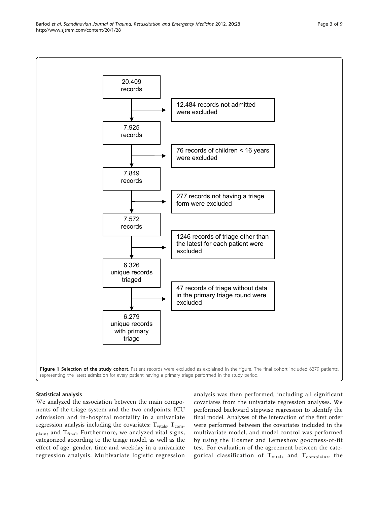<span id="page-3-0"></span>

# Statistical analysis

We analyzed the association between the main components of the triage system and the two endpoints; ICU admission and in-hospital mortality in a univariate regression analysis including the covariates:  $T_{\text{vitals}}$ ,  $T_{\text{com-}}$ plaint and T<sub>final</sub>. Furthermore, we analyzed vital signs, categorized according to the triage model, as well as the effect of age, gender, time and weekday in a univariate regression analysis. Multivariate logistic regression analysis was then performed, including all significant covariates from the univariate regression analyses. We performed backward stepwise regression to identify the final model. Analyses of the interaction of the first order were performed between the covariates included in the multivariate model, and model control was performed by using the Hosmer and Lemeshow goodness-of-fit test. For evaluation of the agreement between the categorical classification of  $T_{\text{vitals}}$  and  $T_{\text{complaint}}$ , the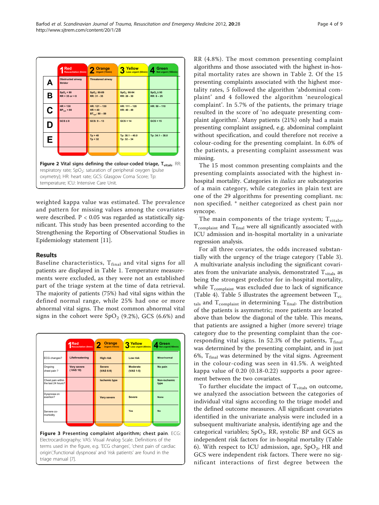<span id="page-4-0"></span>

weighted kappa value was estimated. The prevalence and pattern for missing values among the covariates were described. P < 0.05 was regarded as statistically significant. This study has been presented according to the Strengthening the Reporting of Observational Studies in Epidemiology statement [\[11](#page-9-0)].

# Results

Baseline characteristics,  $T_{final}$  and vital signs for all patients are displayed in Table [1](#page-5-0). Temperature measurements were excluded, as they were not an established part of the triage system at the time of data retrieval. The majority of patients (75%) had vital signs within the defined normal range, while 25% had one or more abnormal vital signs. The most common abnormal vital signs in the cohort were  $SpO<sub>2</sub>$  (9.2%), GCS (6.6%) and

|                                         | ⊿ Red<br><b>Resuscitation (0min)</b> | Orange<br>Urgent (15min)     | Yellow<br>Less urgent (60min) | Green<br>Not urgent(180min) |
|-----------------------------------------|--------------------------------------|------------------------------|-------------------------------|-----------------------------|
| ECG changes?                            | Lifethreatening                      | <b>High risk</b>             | Low risk                      | Minor/normal                |
| Ongoing<br>chest pain?                  | <b>Very severe</b><br>(VAS 10)       | <b>Severe</b><br>$(VAS 6-9)$ | <b>Moderate</b><br>(VAS 1-5)  | No pain                     |
| Chest pain within<br>the last 24 hours? |                                      | <b>Ischemic type</b>         |                               | Non-ischemic<br>type        |
| Dyspnoea on<br>exertion?                |                                      | <b>Very severe</b>           | <b>Severe</b>                 | <b>None</b>                 |
| Servere co-<br>morbidity                |                                      |                              | Yes                           | <b>No</b>                   |
|                                         |                                      |                              |                               |                             |

terms used in the figure, e.g. 'ECG changes', 'chest pain of cardiac origin','functional dyspnoea' and 'risk patients' are found in the triage manual [[7\]](#page-9-0).

RR (4.8%). The most common presenting complaint algorithms and those associated with the highest in-hospital mortality rates are shown in Table [2](#page-6-0). Of the 15 presenting complaints associated with the highest mortality rates, 5 followed the algorithm 'abdominal complaint' and 4 followed the algorithm 'neurological complaint'. In 5.7% of the patients, the primary triage resulted in the score of 'no adequate presenting complaint algorithm'. Many patients (21%) only had a main presenting complaint assigned, e.g. abdominal complaint without specification, and could therefore not receive a colour-coding for the presenting complaint. In 6.0% of the patients, a presenting complaint assessment was missing.

The 15 most common presenting complaints and the presenting complaints associated with the highest inhospital mortality. Categories in italics are subcategories of a main category, while categories in plain text are one of the 29 algorithms for presenting compliant. ns: non specified. \* neither categorized as chest pain nor syncope.

The main components of the triage system;  $T_{\text{vitals}}$ ,  $T_{\text{complain}}$  and  $T_{\text{final}}$  were all significantly associated with ICU admission and in-hospital mortality in a univariate regression analysis.

For all three covariates, the odds increased substantially with the urgency of the triage category (Table [3](#page-6-0)). A multivariate analysis including the significant covariates from the univariate analysis, demonstrated  $T_{\text{vitals}}$  as being the strongest predictor for in-hospital mortality, while  $T_{\text{complain}}$  was excluded due to lack of significance (Table [4](#page-6-0)). Table [5](#page-7-0) illustrates the agreement between  $T_{\text{vir}}$  $_{\text{tals}}$  and  $\text{T}_{\text{complain}}$  in determining  $\text{T}_{\text{final}}$ . The distribution of the patients is asymmetric; more patients are located above than below the diagonal of the table. This means, that patients are assigned a higher (more severe) triage category due to the presenting complaint than the corresponding vital signs. In 52.3% of the patients,  $T_{final}$ was determined by the presenting complaint, and in just 6%,  $T_{final}$  was determined by the vital signs. Agreement in the colour-coding was seen in 41.5%. A weighted kappa value of 0.20 (0.18-0.22) supports a poor agreement between the two covariates.

To further elucidate the impact of  $T_{\text{vitals}}$  on outcome, we analyzed the association between the categories of individual vital signs according to the triage model and the defined outcome measures. All significant covariates identified in the univariate analysis were included in a subsequent multivariate analysis, identifying age and the categorical variables;  $SpO<sub>2</sub>$ , RR, systolic BP and GCS as independent risk factors for in-hospital mortality (Table [6\)](#page-7-0). With respect to ICU admission, age,  $SpO<sub>2</sub>$ , HR and GCS were independent risk factors. There were no significant interactions of first degree between the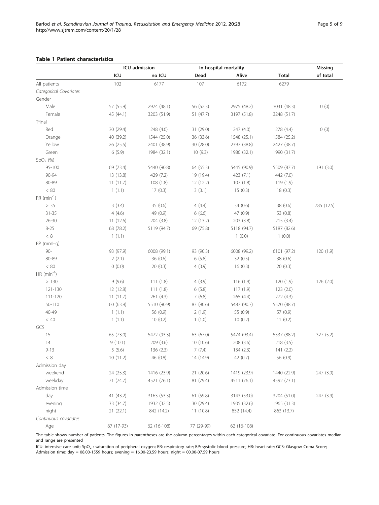<span id="page-5-0"></span>

|                           | ICU admission |             |            | In-hospital mortality |              | Missing    |
|---------------------------|---------------|-------------|------------|-----------------------|--------------|------------|
|                           | ICU           | no ICU      | Dead       | Alive                 | <b>Total</b> | of total   |
| All patients              | 102           | 6177        | 107        | 6172                  | 6279         |            |
| Categorical Covariates    |               |             |            |                       |              |            |
| Gender                    |               |             |            |                       |              |            |
| Male                      | 57 (55.9)     | 2974 (48.1) | 56 (52.3)  | 2975 (48.2)           | 3031 (48.3)  | 0(0)       |
| Female                    | 45 (44.1)     | 3203 (51.9) | 51 (47.7)  | 3197 (51.8)           | 3248 (51.7)  |            |
| Tfinal                    |               |             |            |                       |              |            |
| Red                       | 30 (29.4)     | 248 (4.0)   | 31 (29.0)  | 247 (4.0)             | 278 (4.4)    | 0(0)       |
| Orange                    | 40 (39.2)     | 1544 (25.0) | 36 (33.6)  | 1548 (25.1)           | 1584 (25.2)  |            |
| Yellow                    | 26 (25.5)     | 2401 (38.9) | 30 (28.0)  | 2397 (38.8)           | 2427 (38.7)  |            |
| Green                     | 6(5.9)        | 1984 (32.1) | 10(9.3)    | 1980 (32.1)           | 1990 (31.7)  |            |
| $SpO2$ (%)                |               |             |            |                       |              |            |
| 95-100                    | 69 (73.4)     | 5440 (90.8) | 64 (65.3)  | 5445 (90.9)           | 5509 (87.7)  | 191 (3.0)  |
| 90-94                     | 13 (13.8)     | 429 (7.2)   | 19 (19.4)  | 423 (7.1)             | 442 (7.0)    |            |
| 80-89                     | 11(11.7)      | 108(1.8)    | 12(12.2)   | 107(1.8)              | 119(1.9)     |            |
| < 80                      | 1(1.1)        | 17(0.3)     | 3(3.1)     | 15(0.3)               | 18(0.3)      |            |
| $RR$ (min <sup>-1</sup> ) |               |             |            |                       |              |            |
| > 35                      | 3(3.4)        | 35 (0.6)    | 4(4.4)     | 34 (0.6)              | 38 (0.6)     | 785 (12.5) |
| $31 - 35$                 | 4(4.6)        | 49 (0.9)    | 6(6.6)     | 47 (0.9)              | 53 (0.8)     |            |
| $26 - 30$                 | 11(12.6)      | 204(3.8)    | 12(13.2)   | 203(3.8)              | 215(3.4)     |            |
| $8 - 25$                  | 68 (78.2)     | 5119 (94.7) | 69 (75.8)  | 5118 (94.7)           | 5187 (82.6)  |            |
| $<\,8$                    | 1(1.1)        |             |            | 1(0.0)                | 1(0.0)       |            |
| BP (mmHg)                 |               |             |            |                       |              |            |
| $90 -$                    | 93 (97.9)     | 6008 (99.1) | 93 (90.3)  | 6008 (99.2)           | 6101 (97.2)  | 120 (1.9)  |
| 80-89                     | 2(2.1)        | 36 (0.6)    | 6(5.8)     | 32 (0.5)              | 38 (0.6)     |            |
| $<\,80$                   | 0(0.0)        | 20(0.3)     | 4(3.9)     | 16(0.3)               | 20(0.3)      |            |
| $HR (min-1)$              |               |             |            |                       |              |            |
| >130                      | 9(9.6)        | 111(1.8)    | 4(3.9)     | 116(1.9)              | 120 (1.9)    | 126 (2.0)  |
| 121-130                   | 12 (12.8)     | 111(1.8)    | 6(5.8)     | 117(1.9)              | 123(2.0)     |            |
| $111 - 120$               | 11(11.7)      | 261(4.3)    | 7(6.8)     | 265(4.4)              | 272(4.3)     |            |
| 50-110                    | 60 (63.8)     | 5510 (90.9) | 83 (80.6)  | 5487 (90.7)           | 5570 (88.7)  |            |
| 40-49                     | 1(1.1)        | 56 (0.9)    | 2(1.9)     | 55 (0.9)              | 57 (0.9)     |            |
| < 40                      | 1(1.1)        | 10(0.2)     | 1(1.0)     | 10(0.2)               | 11(0.2)      |            |
| GCS                       |               |             |            |                       |              |            |
| 15                        | 65 (73.0)     | 5472 (93.3) | 63 (67.0)  | 5474 (93.4)           | 5537 (88.2)  | 327 (5.2)  |
| 14                        | 9(10.1)       | 209 (3.6)   | 10(10.6)   | 208 (3.6)             | 218 (3.5)    |            |
| $9 - 13$                  | 5(5.6)        | 136 (2.3)   | 7(7.4)     | 134(2.3)              | 141(2.2)     |            |
| $\leq~8$                  | 10(11.2)      | 46 (0.8)    | 14 (14.9)  | 42 (0.7)              | 56 (0.9)     |            |
| Admission day             |               |             |            |                       |              |            |
| weekend                   | 24 (25.3)     | 1416 (23.9) | 21 (20.6)  | 1419 (23.9)           | 1440 (22.9)  | 247 (3.9)  |
| weekday                   | 71 (74.7)     | 4521 (76.1) | 81 (79.4)  | 4511 (76.1)           | 4592 (73.1)  |            |
| Admission time            |               |             |            |                       |              |            |
| day                       | 41 (43.2)     | 3163 (53.3) | 61 (59.8)  | 3143 (53.0)           | 3204 (51.0)  | 247 (3.9)  |
| evening                   | 33 (34.7)     | 1932 (32.5) | 30 (29.4)  | 1935 (32.6)           | 1965 (31.3)  |            |
| night                     | 21(22.1)      | 842 (14.2)  | 11(10.8)   | 852 (14.4)            | 863 (13.7)   |            |
| Continuous covariates     |               |             |            |                       |              |            |
| Age                       | 67 (17-93)    | 62 (16-108) | 77 (29-99) | 62 (16-108)           |              |            |

The table shows number of patients. The figures in parentheses are the column percentages within each categorical covariate. For continuous covariates median and range are presented

ICU: intensive care unit; SpO<sub>2</sub> : saturation of peripheral oxygen; RR: respiratory rate; BP: systolic blood pressure; HR: heart rate; GCS: Glasgow Coma Score;<br>Admission time: day = 08.00-1559 hours; evening = 16.00-23.59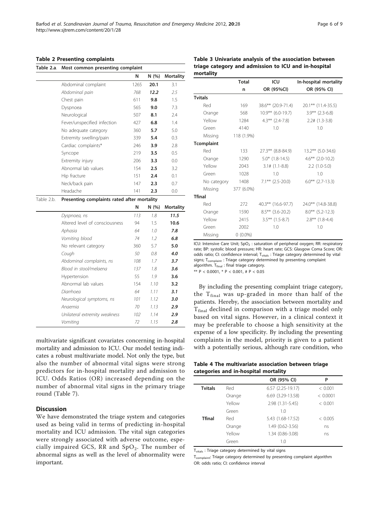#### <span id="page-6-0"></span>Table 2 Presenting complaints

| Table 2.a. | Most common presenting complaint            |      |      |                  |  |  |  |  |  |
|------------|---------------------------------------------|------|------|------------------|--|--|--|--|--|
|            |                                             | N    | N(%) | <b>Mortality</b> |  |  |  |  |  |
|            | Abdominal complaint                         | 1265 | 20.1 | 3.1              |  |  |  |  |  |
|            | Abdominal pain                              | 768  | 12.2 | 2.5              |  |  |  |  |  |
|            | Chest pain                                  | 611  | 9.8  | 1.5              |  |  |  |  |  |
|            | Dyspnoea                                    | 565  | 9.0  | 7.3              |  |  |  |  |  |
|            | Neurological                                | 507  | 8.1  | 7.4              |  |  |  |  |  |
|            | Fever/unspecified infection                 | 427  | 6.8  | 1.4              |  |  |  |  |  |
|            | No adequate category                        | 360  | 5.7  | 5.0              |  |  |  |  |  |
|            | Extremity swelling/pain                     | 339  | 5.4  | 0.3              |  |  |  |  |  |
|            | Cardiac complaints*                         | 246  | 3.9  | 2.8              |  |  |  |  |  |
|            | Syncope                                     | 219  | 3.5  | 0.5              |  |  |  |  |  |
|            | Extremity injury                            | 206  | 3.3  | 0.0              |  |  |  |  |  |
|            | Abnormal lab values                         | 154  | 2.5  | 3.2              |  |  |  |  |  |
|            | Hip fracture                                | 151  | 2.4  | 0.1              |  |  |  |  |  |
|            | Neck/back pain                              | 147  | 2.3  | 0.7              |  |  |  |  |  |
|            | Headache                                    | 141  | 2.3  | 0.0              |  |  |  |  |  |
| Table 2.b. | Presenting complaints rated after mortality |      |      |                  |  |  |  |  |  |
|            |                                             | N    | N(%) | <b>Mortality</b> |  |  |  |  |  |
|            | Dyspnoea, ns                                | 113  | 1.8  | 11.5             |  |  |  |  |  |
|            | Altered level of consciousness              | 94   | 1.5  | 10.6             |  |  |  |  |  |
|            | Aphasia                                     | 64   | 1.0  | 7.8              |  |  |  |  |  |
|            | Vomiting blood                              | 74   | 1.2  | 6.8              |  |  |  |  |  |
|            | No relevant category                        | 360  | 5.7  | 5.0              |  |  |  |  |  |
|            | Cough                                       | 50   | 0.8  | 4.0              |  |  |  |  |  |
|            | Abdominal complaints, ns                    | 108  | 1.7  | 3.7              |  |  |  |  |  |
|            | Blood in stool/melaena                      | 137  | 1.8  | 3.6              |  |  |  |  |  |
|            | Hypertension                                | 55   | 1.9  | 3.6              |  |  |  |  |  |
|            | Abnormal lab values                         | 154  | 1.10 | 3.2              |  |  |  |  |  |
|            | Diarrhoea                                   | 64   | 1.11 | 3.1              |  |  |  |  |  |
|            | Neurological symptoms, ns                   | 101  | 1.12 | 3.0              |  |  |  |  |  |
|            | Anaemia                                     | 70   | 1.13 | 2.9              |  |  |  |  |  |
|            | Unilateral extremity weakness               | 102  | 1.14 | 2.9              |  |  |  |  |  |
|            | Vomitina                                    | 72   | 1.15 | 2.8              |  |  |  |  |  |

multivariate significant covariates concerning in-hospital mortality and admission to ICU. Our model testing indicates a robust multivariate model. Not only the type, but also the number of abnormal vital signs were strong predictors for in-hospital mortality and admission to ICU. Odds Ratios (OR) increased depending on the number of abnormal vital signs in the primary triage round (Table [7\)](#page-8-0).

# **Discussion**

We have demonstrated the triage system and categories used as being valid in terms of predicting in-hospital mortality and ICU admission. The vital sign categories were strongly associated with adverse outcome, especially impaired GCS, RR and  $SpO<sub>2</sub>$ . The number of abnormal signs as well as the level of abnormality were important.

# Table 3 Univariate analysis of the association between triage category and admission to ICU and in-hospital mortality

|                   | <b>Total</b> | ICU                   | In-hospital mortality |
|-------------------|--------------|-----------------------|-----------------------|
|                   | n            | OR (95%CI)            | OR (95% CI)           |
| <b>Tvitals</b>    |              |                       |                       |
| Red               | 169          | 38.6** (20.9-71.4)    | 20.1** (11.4-35.5)    |
| Orange            | 568          | $10.9**$ (6.0-19.7)   | $3.9***$ (2.3-6.8)    |
| Yellow            | 1284         | $4.3***$ (2.4-7.8)    | $2.2# (1.3-3.8)$      |
| Green             | 4140         | 1.0                   | 1.0                   |
| Missing           | 118 (1.9%)   |                       |                       |
| <b>Tcomplaint</b> |              |                       |                       |
| Red               | 133          | 27.3** (8.8-84.9)     | $13.2***$ (5.0-34.6)  |
| Orange            | 1290         | $5.0*$ $(1.8-14.5)$   | $4.6***$ (2.0-10.2)   |
| Yellow            | 2043         | $3.1\# (1.1 - 8.8)$   | $2.2$ $(1.0-5.0)$     |
| Green             | 1028         | 1.0                   | 1.0                   |
| No category       | 1408         | $7.1***$ (2.5-20.0)   | $6.0***$ (2.7-13.3)   |
| Missing           | 377 (6.0%)   |                       |                       |
| <b>Tfinal</b>     |              |                       |                       |
| Red               | 272          | $40.3***$ (16.6-97.7) | 24.0** (14.8-38.8)    |
| Orange            | 1590         | $8.5***$ (3.6-20.2)   | $8.0***$ (5.2-12.3)   |
| Yellow            | 2415         | $3.5***$ (1.5-8.7)    | $2.8***$ (1.8-4.4)    |
| Green             | 2002         | 1.0                   | 1.0                   |
| Missing           | $0(0.0\%)$   |                       |                       |

ICU: Intensive Care Unit; SpO<sub>2</sub> : saturation of peripheral oxygen; RR: respiratory rate; BP: systolic blood pressure; HR: heart rate; GCS: Glasgow Coma Score; OR: odds ratio; CI: confidence interval; T<sub>vitals</sub> : Triage category determined by vital signs;  $T_{\text{complain}}$  : Triage category determined by presenting complaint algorithm. T<sub>final</sub> : final triage category.

\*\*  $P < 0.0001$ , \*  $P < 0.001$ , #  $P < 0.05$ 

By including the presenting complaint triage category, the  $T_{final}$  was up-graded in more than half of the patients. Hereby, the association between mortality and  $T_{final}$  declined in comparison with a triage model only based on vital signs. However, in a clinical context it may be preferable to choose a high sensitivity at the expense of a low specificity. By including the presenting complaints in the model, priority is given to a patient with a potentially serious, although rare condition, who

| Table 4 The multivariate association between triage |  |  |
|-----------------------------------------------------|--|--|
| categories and in-hospital mortality                |  |  |

|                |        | OR (95% CI)           | P        |
|----------------|--------|-----------------------|----------|
| <b>Tvitals</b> | Red    | $6.57$ $(2.25-19.17)$ | < 0.001  |
|                | Orange | 6.69 (3.29-13.58)     | < 0.0001 |
|                | Yellow | 2.98 (1.31-5.45)      | < 0.001  |
|                | Green  | 1.0                   |          |
| <b>Tfinal</b>  | Red    | 5.43 (1.68-17.52)     | < 0.005  |
|                | Orange | 1.49 (0.62-3.56)      | ns       |
|                | Yellow | 1.34 (0.86-3.08)      | ns       |
|                | Green  | 1.0                   |          |
|                |        |                       |          |

T<sub>vitals</sub> : Triage category determined by vital signs

T<sub>complaint</sub>: Triage category determined by presenting complaint algorithm OR: odds ratio; CI: confidence interval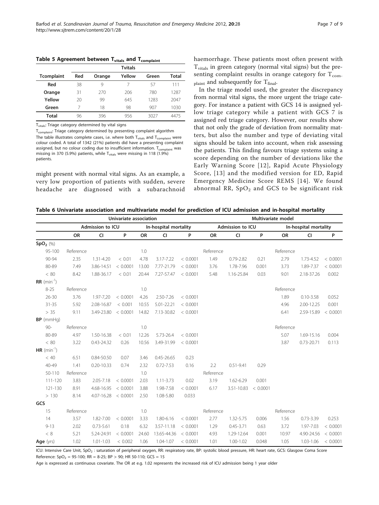<span id="page-7-0"></span>Table 5 Agreement between T<sub>vitals</sub> and T<sub>complaint</sub>

|                   |     |        | <b>Tvitals</b> |       |       |
|-------------------|-----|--------|----------------|-------|-------|
| <b>Tcomplaint</b> | Red | Orange | Yellow         | Green | Total |
| Red               | 38  | 9      |                | 57    | 111   |
| Orange            | 31  | 270    | 206            | 780   | 1287  |
| Yellow            | 20  | 99     | 645            | 1283  | 2047  |
| Green             |     | 18     | 98             | 907   | 1030  |
| Total             | 96  | 396    | 956            | 3027  | 4475  |

T<sub>vitals</sub>: Triage category determined by vital signs

T<sub>complaint</sub>: Triage category determined by presenting complaint algorithm The table illustrates complete cases, i.e. where both  $T_{vitals}$  and  $T_{\text{complaint}}$  were colour coded. A total of 1342 (21%) patients did have a presenting complaint assigned, but no colour coding due to insufficient information. T<sub>complaint</sub> was missing in 370 (5.9%) patients, while T<sub>vitals</sub> were missing in 118 (1.9%) patients.

might present with normal vital signs. As an example, a very low proportion of patients with sudden, severe headache are diagnosed with a subarachnoid haemorrhage. These patients most often present with  $T_{\text{vitals}}$  in green category (normal vital signs) but the presenting complaint results in orange category for  $T_{\text{com}}$ .  $_{\text{plaintext}}$  and subsequently for  $T_{\text{final}}$ .

In the triage model used, the greater the discrepancy from normal vital signs, the more urgent the triage category. For instance a patient with GCS 14 is assigned yellow triage category while a patient with GCS 7 is assigned red triage category. However, our results show that not only the grade of deviation from normality matters, but also the number and type of deviating vital signs should be taken into account, when risk assessing the patients. This finding favours triage systems using a score depending on the number of deviations like the Early Warning Score [[12](#page-9-0)], Rapid Acute Physiology Score, [[13](#page-9-0)] and the modified version for ED, Rapid Emergency Medicine Score REMS [[14\]](#page-9-0). We found abnormal RR,  $SpO<sub>2</sub>$  and GCS to be significant risk

Table 6 Univariate association and multivariate model for prediction of ICU admission and in-hospital mortality

|                   |           | Univariate association |          |           |                       |          | Multivariate model |                  |          |           |                       |          |
|-------------------|-----------|------------------------|----------|-----------|-----------------------|----------|--------------------|------------------|----------|-----------|-----------------------|----------|
|                   |           | Admission to ICU       |          |           | In-hospital mortality |          |                    | Admission to ICU |          |           | In-hospital mortality |          |
|                   | <b>OR</b> | <b>CI</b>              | P        | <b>OR</b> | <b>CI</b>             | P        | <b>OR</b>          | <b>CI</b>        | P        | <b>OR</b> | <b>CI</b>             | P        |
| $SpO2$ (%)        |           |                        |          |           |                       |          |                    |                  |          |           |                       |          |
| $95 - 100$        | Reference |                        |          | 1.0       |                       |          | Reference          |                  |          | Reference |                       |          |
| 90-94             | 2.35      | 1.31-4.20              | < 0.01   | 4.78      | 3.17-7.22             | < 0.0001 | 1.49               | $0.79 - 2.82$    | 0.21     | 2.79      | 1.73-4.52             | < 0.0001 |
| 80-89             | 7.49      | 3.86-14.51             | < 0.0001 | 13.00     | 7.77-21.79            | < 0.0001 | 3.76               | 1.78-7.96        | 0.001    | 3.73      | 1.89-7.37             | < 0.0001 |
| < 80              | 8.42      | 1.88-36.17             | < 0.01   | 20.44     | 7.27-57.47            | < 0.0001 | 5.48               | 1.16-25.84       | 0.03     | 9.01      | 2.18-37.26            | 0.002    |
| $RR \ (min^{-1})$ |           |                        |          |           |                       |          |                    |                  |          |           |                       |          |
| $8 - 25$          | Reference |                        |          | 1.0       |                       |          |                    |                  |          | Reference |                       |          |
| $26 - 30$         | 3.76      | 1.97-7,20              | < 0.0001 | 4.26      | 2.50-7.26             | < 0.0001 |                    |                  |          | 1.89      | $0.10 - 3.58$         | 0.052    |
| $31 - 35$         | 5.92      | 2.08-16.87             | < 0.001  | 10.55     | 5.01-22.21            | < 0.0001 |                    |                  |          | 4.96      | 2.00-12.25            | 0.001    |
| > 35              | 9.11      | 3.49-23.80             | < 0.0001 | 14.82     | 7.13-30.82            | < 0.0001 |                    |                  |          | 6.41      | 2.59-15.89            | < 0.0001 |
| $BP$ (mmHq)       |           |                        |          |           |                       |          |                    |                  |          |           |                       |          |
| $90 -$            | Reference |                        |          | 1.0       |                       |          |                    |                  |          | Reference |                       |          |
| 80-89             | 4.97      | 1.50-16.38             | < 0.01   | 12.26     | 5.73-26.4             | < 0.0001 |                    |                  |          | 5.07      | 1.69-15.16            | 0.004    |
| < 80              | 3.22      | $0.43 - 24.32$         | 0.26     | 10.56     | 3.49-31.99            | < 0.0001 |                    |                  |          | 3.87      | 0.73-20.71            | 0.113    |
| $HR (min^{-1})$   |           |                        |          |           |                       |          |                    |                  |          |           |                       |          |
| < 40              | 6.51      | 0.84-50.50             | 0.07     | 3.46      | $0.45 - 26.65$        | 0.23     |                    |                  |          |           |                       |          |
| $40 - 49$         | 1.41      | $0.20 - 10.33$         | 0.74     | 2.32      | $0.72 - 7.53$         | 0.16     | 2.2                | $0.51 - 9.41$    | 0.29     |           |                       |          |
| 50-110            | Reference |                        |          | 1.0       |                       |          | Reference          |                  |          |           |                       |          |
| $111 - 120$       | 3.83      | $2.05 - 7.18$          | < 0.0001 | 2.03      | $1.11 - 3.73$         | 0.02     | 3.19               | 1.62-6.29        | 0.001    |           |                       |          |
| 121-130           | 8.91      | 4.68-16.95             | < 0.0001 | 3.88      | 1.98-7.58             | < 0.0001 | 6.17               | 3.51-10.83       | < 0.0001 |           |                       |          |
| >130              | 8.14      | 4.07-16.28             | < 0.0001 | 2.50      | 1.08-5.80             | 0.033    |                    |                  |          |           |                       |          |
| GCS               |           |                        |          |           |                       |          |                    |                  |          |           |                       |          |
| 15                | Reference |                        |          | 1.0       |                       |          | Reference          |                  |          | Reference |                       |          |
| 14                | 3.57      | 1.82-7.00              | < 0.0001 | 3.33      | 1.80-6.16             | < 0.0001 | 2.77               | 1.32-5.75        | 0.006    | 1.56      | $0.73 - 3.39$         | 0.253    |
| $9 - 13$          | 2.02      | $0.73 - 5.61$          | 0.18     | 6.32      | 3.57-11.18            | < 0.0001 | 1.29               | $0.45 - 3.71$    | 0.63     | 3.72      | 1.97-7.03             | < 0.0001 |
| < 8               | 5.21      | 5.24-24.91             | < 0.0001 | 24.60     | 13.65-44.36           | < 0.0001 | 4.93               | 1.29-12.64       | 0.001    | 10.97     | 4.90-24.56            | < 0.0001 |
| Age (yrs)         | 1.02      | $1.01 - 1.03$          | < 0.002  | 1.06      | 1.04-1.07             | < 0.0001 | 1.01               | 1.00-1.02        | 0.048    | 1.05      | 1.03-1.06             | < 0.0001 |

ICU: Intensive Care Unit, SpO<sub>2</sub> : saturation of peripheral oxygen, RR: respiratory rate, BP: systolic blood pressure, HR: heart rate, GCS: Glasgow Coma Score Reference:  $SpO<sub>2</sub> = 95-100$ ; RR = 8-25; BP > 90; HR 50-110; GCS = 15

Age is expressed as continuous covariate. The OR at e.g. 1.02 represents the increased risk of ICU admission being 1 year older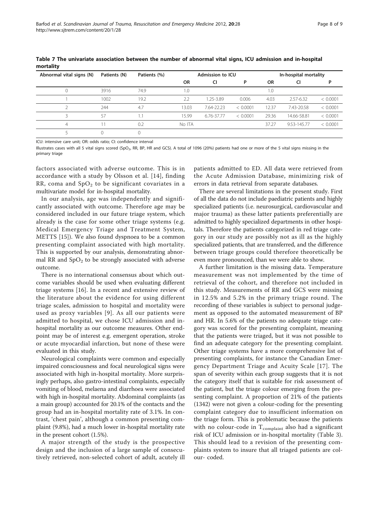| Abnormal vital signs (N) | Patients (N)<br>Patients (%) |      | Admission to ICU |            |          |           | In-hospital mortality |          |
|--------------------------|------------------------------|------|------------------|------------|----------|-----------|-----------------------|----------|
|                          |                              |      | <b>OR</b>        | CI         | P        | <b>OR</b> | CI                    |          |
|                          | 3916                         | 74.9 | 1.0              |            |          | 0.1       |                       |          |
|                          | 1002                         | 19.2 | 2.2              | 1.25-3.89  | 0.006    | 4.03      | 2.57-6.32             | < 0.0001 |
|                          | 244                          | 4.7  | 13.03            | 7.64-22.23 | < 0.0001 | 12.37     | 7.43-20.58            | < 0.0001 |
|                          | 57                           |      | 15.99            | 6.76-37.77 | < 0.0001 | 29.36     | 14.66-58.81           | < 0.0001 |
| 4                        |                              | 0.2  | No ITA           |            |          | 37.27     | 9.53-145.77           | < 0.0001 |
|                          |                              |      |                  |            |          |           |                       |          |

<span id="page-8-0"></span>Table 7 The univariate association between the number of abnormal vital signs, ICU admission and in-hospital mortality

ICU: intensive care unit; OR: odds ratio; CI: confidence interval

Illustrates cases with all 5 vital signs scored (SpO<sub>2</sub>, RR, BP, HR and GCS). A total of 1096 (20%) patients had one or more of the 5 vital signs missing in the primary triage

factors associated with adverse outcome. This is in accordance with a study by Olsson et al. [[14\]](#page-9-0), finding RR, coma and  $SpO<sub>2</sub>$  to be significant covariates in a multivariate model for in-hospital mortality.

In our analysis, age was independently and significantly associated with outcome. Therefore age may be considered included in our future triage system, which already is the case for some other triage systems (e.g. Medical Emergency Triage and Treatment System, METTS [[15\]](#page-9-0)). We also found dyspnoea to be a common presenting complaint associated with high mortality. This is supported by our analysis, demonstrating abnormal RR and  $SpO<sub>2</sub>$  to be strongly associated with adverse outcome.

There is no international consensus about which outcome variables should be used when evaluating different triage systems [[16\]](#page-9-0). In a recent and extensive review of the literature about the evidence for using different triage scales, admission to hospital and mortality were used as proxy variables [[9](#page-9-0)]. As all our patients were admitted to hospital, we chose ICU admission and inhospital mortality as our outcome measures. Other endpoint may be of interest e.g. emergent operation, stroke or acute myocardial infarction, but none of these were evaluated in this study.

Neurological complaints were common and especially impaired consciousness and focal neurological signs were associated with high in-hospital mortality. More surprisingly perhaps, also gastro-intestinal complaints, especially vomiting of blood, melaena and diarrhoea were associated with high in-hospital mortality. Abdominal complaints (as a main group) accounted for 20.1% of the contacts and the group had an in-hospital mortality rate of 3.1%. In contrast, 'chest pain', although a common presenting complaint (9.8%), had a much lower in-hospital mortality rate in the present cohort (1.5%).

A major strength of the study is the prospective design and the inclusion of a large sample of consecutively retrieved, non-selected cohort of adult, acutely ill

patients admitted to ED. All data were retrieved from the Acute Admission Database, minimizing risk of errors in data retrieval from separate databases.

There are several limitations in the present study. First of all the data do not include paediatric patients and highly specialized patients (i.e. neurosurgical, cardiovascular and major trauma) as these latter patients preferentially are admitted to highly specialized departments in other hospitals. Therefore the patients categorized in red triage category in our study are possibly not as ill as the highly specialized patients, that are transferred, and the difference between triage groups could therefore theoretically be even more pronounced, than we were able to show.

A further limitation is the missing data. Temperature measurement was not implemented by the time of retrieval of the cohort, and therefore not included in this study. Measurements of RR and GCS were missing in 12.5% and 5.2% in the primary triage round. The recording of these variables is subject to personal judgement as opposed to the automated measurement of BP and HR. In 5.6% of the patients no adequate triage category was scored for the presenting complaint, meaning that the patients were triaged, but it was not possible to find an adequate category for the presenting complaint. Other triage systems have a more comprehensive list of presenting complaints, for instance the Canadian Emergency Department Triage and Acuity Scale [[17](#page-9-0)]. The span of severity within each group suggests that it is not the category itself that is suitable for risk assessment of the patient, but the triage colour emerging from the presenting complaint. A proportion of 21% of the patients (1342) were not given a colour-coding for the presenting complaint category due to insufficient information on the triage form. This is problematic because the patients with no colour-code in  $T_{\text{complain}}$  also had a significant risk of ICU admission or in-hospital mortality (Table [3](#page-6-0)). This should lead to a revision of the presenting complaints system to insure that all triaged patients are colour- coded.